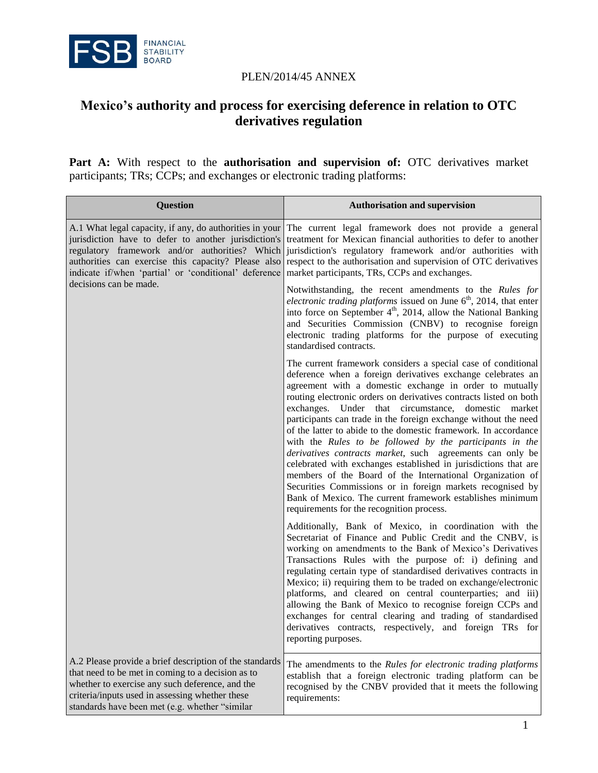

## PLEN/2014/45 ANNEX

## **Mexico's authority and process for exercising deference in relation to OTC derivatives regulation**

Part A: With respect to the **authorisation and supervision of:** OTC derivatives market participants; TRs; CCPs; and exchanges or electronic trading platforms:

| <b>Question</b>                                                                                                                                                                                                                                                                                             | <b>Authorisation and supervision</b>                                                                                                                                                                                                                                                                                                                                                                                                                                                                                                                                                                                                                                                                                                                                                                                                                                                             |
|-------------------------------------------------------------------------------------------------------------------------------------------------------------------------------------------------------------------------------------------------------------------------------------------------------------|--------------------------------------------------------------------------------------------------------------------------------------------------------------------------------------------------------------------------------------------------------------------------------------------------------------------------------------------------------------------------------------------------------------------------------------------------------------------------------------------------------------------------------------------------------------------------------------------------------------------------------------------------------------------------------------------------------------------------------------------------------------------------------------------------------------------------------------------------------------------------------------------------|
| A.1 What legal capacity, if any, do authorities in your<br>jurisdiction have to defer to another jurisdiction's<br>regulatory framework and/or authorities? Which<br>authorities can exercise this capacity? Please also<br>indicate if/when 'partial' or 'conditional' deference<br>decisions can be made. | The current legal framework does not provide a general<br>treatment for Mexican financial authorities to defer to another<br>jurisdiction's regulatory framework and/or authorities with<br>respect to the authorisation and supervision of OTC derivatives<br>market participants, TRs, CCPs and exchanges.                                                                                                                                                                                                                                                                                                                                                                                                                                                                                                                                                                                     |
|                                                                                                                                                                                                                                                                                                             | Notwithstanding, the recent amendments to the Rules for<br><i>electronic trading platforms</i> issued on June $6th$ , 2014, that enter<br>into force on September $4th$ , 2014, allow the National Banking<br>and Securities Commission (CNBV) to recognise foreign<br>electronic trading platforms for the purpose of executing<br>standardised contracts.                                                                                                                                                                                                                                                                                                                                                                                                                                                                                                                                      |
|                                                                                                                                                                                                                                                                                                             | The current framework considers a special case of conditional<br>deference when a foreign derivatives exchange celebrates an<br>agreement with a domestic exchange in order to mutually<br>routing electronic orders on derivatives contracts listed on both<br>exchanges. Under that circumstance,<br>domestic<br>market<br>participants can trade in the foreign exchange without the need<br>of the latter to abide to the domestic framework. In accordance<br>with the Rules to be followed by the participants in the<br>derivatives contracts market, such agreements can only be<br>celebrated with exchanges established in jurisdictions that are<br>members of the Board of the International Organization of<br>Securities Commissions or in foreign markets recognised by<br>Bank of Mexico. The current framework establishes minimum<br>requirements for the recognition process. |
|                                                                                                                                                                                                                                                                                                             | Additionally, Bank of Mexico, in coordination with the<br>Secretariat of Finance and Public Credit and the CNBV, is<br>working on amendments to the Bank of Mexico's Derivatives<br>Transactions Rules with the purpose of: i) defining and<br>regulating certain type of standardised derivatives contracts in<br>Mexico; ii) requiring them to be traded on exchange/electronic<br>platforms, and cleared on central counterparties; and iii)<br>allowing the Bank of Mexico to recognise foreign CCPs and<br>exchanges for central clearing and trading of standardised<br>derivatives contracts, respectively, and foreign TRs for<br>reporting purposes.                                                                                                                                                                                                                                    |
| A.2 Please provide a brief description of the standards<br>that need to be met in coming to a decision as to<br>whether to exercise any such deference, and the<br>criteria/inputs used in assessing whether these<br>standards have been met (e.g. whether "similar                                        | The amendments to the Rules for electronic trading platforms<br>establish that a foreign electronic trading platform can be<br>recognised by the CNBV provided that it meets the following<br>requirements:                                                                                                                                                                                                                                                                                                                                                                                                                                                                                                                                                                                                                                                                                      |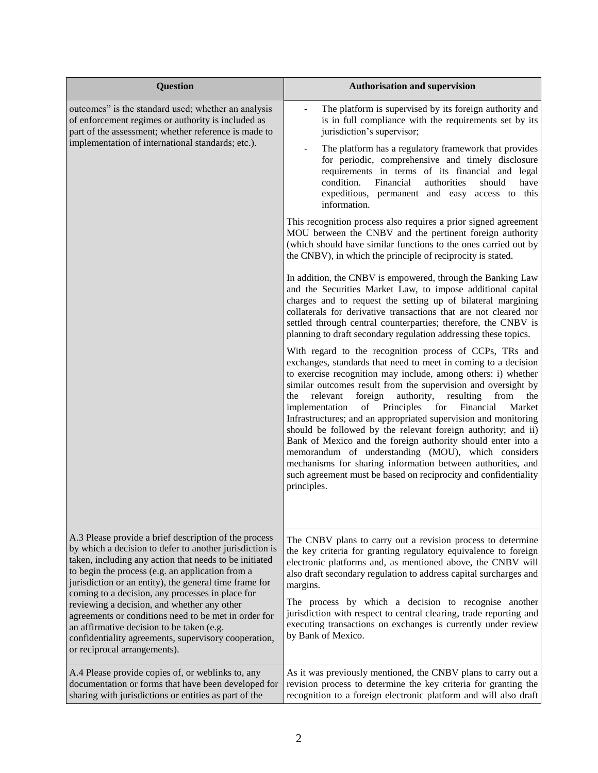| <b>Question</b>                                                                                                                                                                                                                                                                                                                                                                                                                                                                                                                                                                          | <b>Authorisation and supervision</b>                                                                                                                                                                                                                                                                                                                                                                                                                                                                                                                                                                                                                                                                                                                                                                                                                                                                                                                                                                                                                                                                                                                                                                                                                                                                                                                                                                                                                                                                                                                                                                                                                                                                                                                                                                                                                                                                                                          |
|------------------------------------------------------------------------------------------------------------------------------------------------------------------------------------------------------------------------------------------------------------------------------------------------------------------------------------------------------------------------------------------------------------------------------------------------------------------------------------------------------------------------------------------------------------------------------------------|-----------------------------------------------------------------------------------------------------------------------------------------------------------------------------------------------------------------------------------------------------------------------------------------------------------------------------------------------------------------------------------------------------------------------------------------------------------------------------------------------------------------------------------------------------------------------------------------------------------------------------------------------------------------------------------------------------------------------------------------------------------------------------------------------------------------------------------------------------------------------------------------------------------------------------------------------------------------------------------------------------------------------------------------------------------------------------------------------------------------------------------------------------------------------------------------------------------------------------------------------------------------------------------------------------------------------------------------------------------------------------------------------------------------------------------------------------------------------------------------------------------------------------------------------------------------------------------------------------------------------------------------------------------------------------------------------------------------------------------------------------------------------------------------------------------------------------------------------------------------------------------------------------------------------------------------------|
| outcomes" is the standard used; whether an analysis<br>of enforcement regimes or authority is included as<br>part of the assessment; whether reference is made to<br>implementation of international standards; etc.).                                                                                                                                                                                                                                                                                                                                                                   | The platform is supervised by its foreign authority and<br>is in full compliance with the requirements set by its<br>jurisdiction's supervisor;<br>The platform has a regulatory framework that provides<br>for periodic, comprehensive and timely disclosure<br>requirements in terms of its financial and legal<br>condition.<br>Financial<br>authorities<br>should<br>have<br>expeditious, permanent and easy access to this<br>information.<br>This recognition process also requires a prior signed agreement<br>MOU between the CNBV and the pertinent foreign authority<br>(which should have similar functions to the ones carried out by<br>the CNBV), in which the principle of reciprocity is stated.<br>In addition, the CNBV is empowered, through the Banking Law<br>and the Securities Market Law, to impose additional capital<br>charges and to request the setting up of bilateral margining<br>collaterals for derivative transactions that are not cleared nor<br>settled through central counterparties; therefore, the CNBV is<br>planning to draft secondary regulation addressing these topics.<br>With regard to the recognition process of CCPs, TRs and<br>exchanges, standards that need to meet in coming to a decision<br>to exercise recognition may include, among others: i) whether<br>similar outcomes result from the supervision and oversight by<br>authority,<br>relevant<br>foreign<br>resulting<br>from<br>the<br>the<br>Principles<br>implementation<br>of<br>for<br>Financial<br>Market<br>Infrastructures; and an appropriated supervision and monitoring<br>should be followed by the relevant foreign authority; and ii)<br>Bank of Mexico and the foreign authority should enter into a<br>memorandum of understanding (MOU), which considers<br>mechanisms for sharing information between authorities, and<br>such agreement must be based on reciprocity and confidentiality<br>principles. |
| A.3 Please provide a brief description of the process<br>by which a decision to defer to another jurisdiction is<br>taken, including any action that needs to be initiated<br>to begin the process (e.g. an application from a<br>jurisdiction or an entity), the general time frame for<br>coming to a decision, any processes in place for<br>reviewing a decision, and whether any other<br>agreements or conditions need to be met in order for<br>an affirmative decision to be taken (e.g.<br>confidentiality agreements, supervisory cooperation,<br>or reciprocal arrangements). | The CNBV plans to carry out a revision process to determine<br>the key criteria for granting regulatory equivalence to foreign<br>electronic platforms and, as mentioned above, the CNBV will<br>also draft secondary regulation to address capital surcharges and<br>margins.<br>The process by which a decision to recognise another<br>jurisdiction with respect to central clearing, trade reporting and<br>executing transactions on exchanges is currently under review<br>by Bank of Mexico.                                                                                                                                                                                                                                                                                                                                                                                                                                                                                                                                                                                                                                                                                                                                                                                                                                                                                                                                                                                                                                                                                                                                                                                                                                                                                                                                                                                                                                           |
| A.4 Please provide copies of, or weblinks to, any<br>documentation or forms that have been developed for<br>sharing with jurisdictions or entities as part of the                                                                                                                                                                                                                                                                                                                                                                                                                        | As it was previously mentioned, the CNBV plans to carry out a<br>revision process to determine the key criteria for granting the<br>recognition to a foreign electronic platform and will also draft                                                                                                                                                                                                                                                                                                                                                                                                                                                                                                                                                                                                                                                                                                                                                                                                                                                                                                                                                                                                                                                                                                                                                                                                                                                                                                                                                                                                                                                                                                                                                                                                                                                                                                                                          |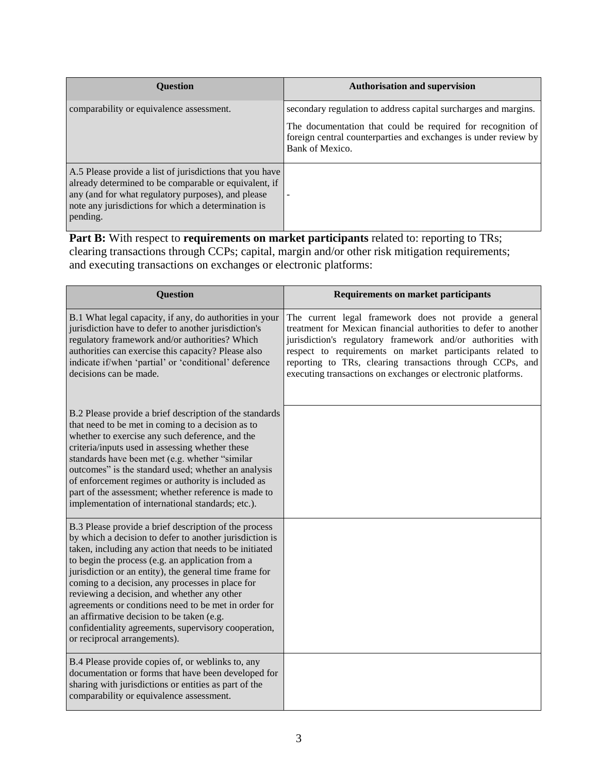| <b>Ouestion</b>                                                                                                                                                                                                                            | <b>Authorisation and supervision</b>                                                                                                                                                                                 |
|--------------------------------------------------------------------------------------------------------------------------------------------------------------------------------------------------------------------------------------------|----------------------------------------------------------------------------------------------------------------------------------------------------------------------------------------------------------------------|
| comparability or equivalence assessment.                                                                                                                                                                                                   | secondary regulation to address capital surcharges and margins.<br>The documentation that could be required for recognition of<br>foreign central counterparties and exchanges is under review by<br>Bank of Mexico. |
| A.5 Please provide a list of jurisdictions that you have<br>already determined to be comparable or equivalent, if<br>any (and for what regulatory purposes), and please<br>note any jurisdictions for which a determination is<br>pending. |                                                                                                                                                                                                                      |

Part B: With respect to *requirements* on market participants related to: reporting to TRs; clearing transactions through CCPs; capital, margin and/or other risk mitigation requirements; and executing transactions on exchanges or electronic platforms:

| <b>Question</b>                                                                                                                                                                                                                                                                                                                                                                                                                                                                                                                                                                          | <b>Requirements on market participants</b>                                                                                                                                                                                                                                                                                                                                         |
|------------------------------------------------------------------------------------------------------------------------------------------------------------------------------------------------------------------------------------------------------------------------------------------------------------------------------------------------------------------------------------------------------------------------------------------------------------------------------------------------------------------------------------------------------------------------------------------|------------------------------------------------------------------------------------------------------------------------------------------------------------------------------------------------------------------------------------------------------------------------------------------------------------------------------------------------------------------------------------|
| B.1 What legal capacity, if any, do authorities in your<br>jurisdiction have to defer to another jurisdiction's<br>regulatory framework and/or authorities? Which<br>authorities can exercise this capacity? Please also<br>indicate if/when 'partial' or 'conditional' deference<br>decisions can be made.                                                                                                                                                                                                                                                                              | The current legal framework does not provide a general<br>treatment for Mexican financial authorities to defer to another<br>jurisdiction's regulatory framework and/or authorities with<br>respect to requirements on market participants related to<br>reporting to TRs, clearing transactions through CCPs, and<br>executing transactions on exchanges or electronic platforms. |
| B.2 Please provide a brief description of the standards<br>that need to be met in coming to a decision as to<br>whether to exercise any such deference, and the<br>criteria/inputs used in assessing whether these<br>standards have been met (e.g. whether "similar<br>outcomes" is the standard used; whether an analysis<br>of enforcement regimes or authority is included as<br>part of the assessment; whether reference is made to<br>implementation of international standards; etc.).                                                                                           |                                                                                                                                                                                                                                                                                                                                                                                    |
| B.3 Please provide a brief description of the process<br>by which a decision to defer to another jurisdiction is<br>taken, including any action that needs to be initiated<br>to begin the process (e.g. an application from a<br>jurisdiction or an entity), the general time frame for<br>coming to a decision, any processes in place for<br>reviewing a decision, and whether any other<br>agreements or conditions need to be met in order for<br>an affirmative decision to be taken (e.g.<br>confidentiality agreements, supervisory cooperation,<br>or reciprocal arrangements). |                                                                                                                                                                                                                                                                                                                                                                                    |
| B.4 Please provide copies of, or weblinks to, any<br>documentation or forms that have been developed for<br>sharing with jurisdictions or entities as part of the<br>comparability or equivalence assessment.                                                                                                                                                                                                                                                                                                                                                                            |                                                                                                                                                                                                                                                                                                                                                                                    |